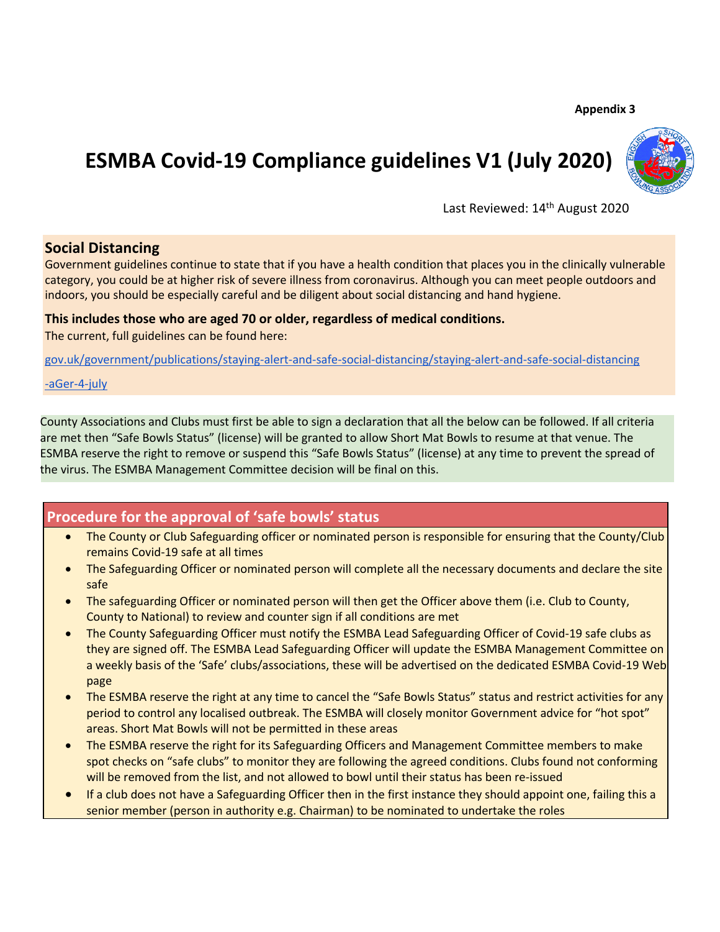## **Appendix 3**

# **ESMBA Covid-19 Compliance guidelines V1 (July 2020)**



Last Reviewed: 14<sup>th</sup> August 2020

# **Social Distancing**

Government guidelines continue to state that if you have a health condition that places you in the clinically vulnerable category, you could be at higher risk of severe illness from coronavirus. Although you can meet people outdoors and indoors, you should be especially careful and be diligent about social distancing and hand hygiene.

## **This includes those who are aged 70 or older, regardless of medical conditions.**

The current, full guidelines can be found here:

gov.uk/government/publications/staying-alert-and-safe-social-distancing/staying-alert-and-safe-social-distancing

-aGer-4-july

County Associations and Clubs must first be able to sign a declaration that all the below can be followed. If all criteria are met then "Safe Bowls Status" (license) will be granted to allow Short Mat Bowls to resume at that venue. The ESMBA reserve the right to remove or suspend this "Safe Bowls Status" (license) at any time to prevent the spread of the virus. The ESMBA Management Committee decision will be final on this.

# **Procedure for the approval of 'safe bowls' status**

- The County or Club Safeguarding officer or nominated person is responsible for ensuring that the County/Club remains Covid-19 safe at all times
- The Safeguarding Officer or nominated person will complete all the necessary documents and declare the site safe
- The safeguarding Officer or nominated person will then get the Officer above them (i.e. Club to County, County to National) to review and counter sign if all conditions are met
- The County Safeguarding Officer must notify the ESMBA Lead Safeguarding Officer of Covid-19 safe clubs as they are signed off. The ESMBA Lead Safeguarding Officer will update the ESMBA Management Committee on a weekly basis of the 'Safe' clubs/associations, these will be advertised on the dedicated ESMBA Covid-19 Web page
- The ESMBA reserve the right at any time to cancel the "Safe Bowls Status" status and restrict activities for any period to control any localised outbreak. The ESMBA will closely monitor Government advice for "hot spot" areas. Short Mat Bowls will not be permitted in these areas
- The ESMBA reserve the right for its Safeguarding Officers and Management Committee members to make spot checks on "safe clubs" to monitor they are following the agreed conditions. Clubs found not conforming will be removed from the list, and not allowed to bowl until their status has been re-issued
- If a club does not have a Safeguarding Officer then in the first instance they should appoint one, failing this a senior member (person in authority e.g. Chairman) to be nominated to undertake the roles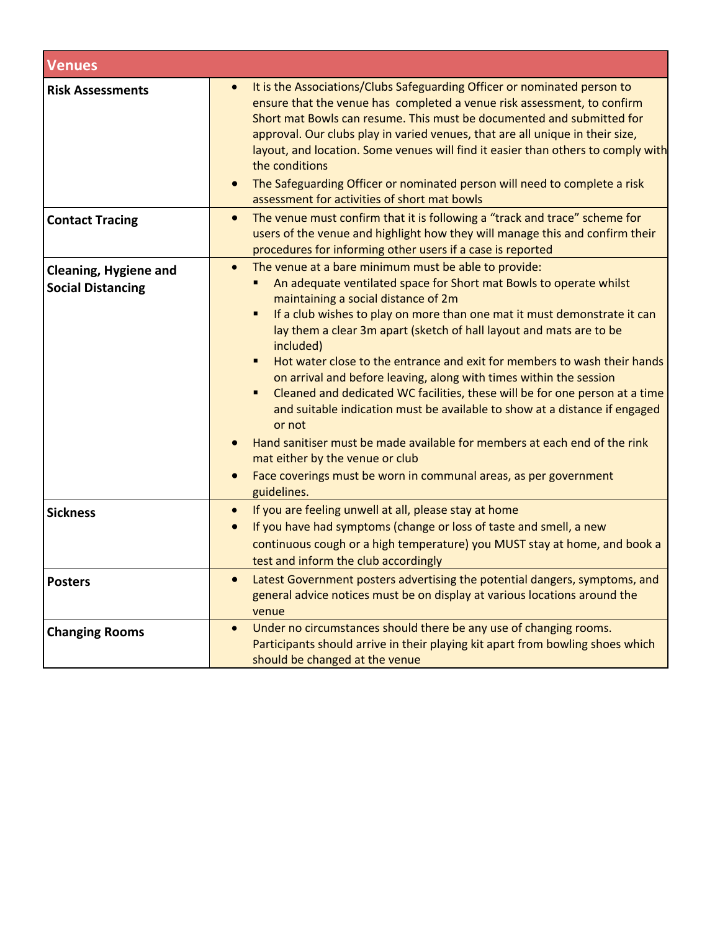| <b>Venues</b>                                            |                                                                                                                                                                                                                                                                                                                                                                                                                                                                                                                                                                                                                                                                                                                                                                                                                                                                                                        |  |
|----------------------------------------------------------|--------------------------------------------------------------------------------------------------------------------------------------------------------------------------------------------------------------------------------------------------------------------------------------------------------------------------------------------------------------------------------------------------------------------------------------------------------------------------------------------------------------------------------------------------------------------------------------------------------------------------------------------------------------------------------------------------------------------------------------------------------------------------------------------------------------------------------------------------------------------------------------------------------|--|
| <b>Risk Assessments</b>                                  | It is the Associations/Clubs Safeguarding Officer or nominated person to<br>ensure that the venue has completed a venue risk assessment, to confirm<br>Short mat Bowls can resume. This must be documented and submitted for<br>approval. Our clubs play in varied venues, that are all unique in their size,<br>layout, and location. Some venues will find it easier than others to comply with<br>the conditions<br>The Safeguarding Officer or nominated person will need to complete a risk<br>assessment for activities of short mat bowls                                                                                                                                                                                                                                                                                                                                                       |  |
| <b>Contact Tracing</b>                                   | The venue must confirm that it is following a "track and trace" scheme for<br>$\bullet$<br>users of the venue and highlight how they will manage this and confirm their<br>procedures for informing other users if a case is reported                                                                                                                                                                                                                                                                                                                                                                                                                                                                                                                                                                                                                                                                  |  |
| <b>Cleaning, Hygiene and</b><br><b>Social Distancing</b> | The venue at a bare minimum must be able to provide:<br>$\bullet$<br>An adequate ventilated space for Short mat Bowls to operate whilst<br>maintaining a social distance of 2m<br>If a club wishes to play on more than one mat it must demonstrate it can<br>٠<br>lay them a clear 3m apart (sketch of hall layout and mats are to be<br>included)<br>Hot water close to the entrance and exit for members to wash their hands<br>$\blacksquare$<br>on arrival and before leaving, along with times within the session<br>Cleaned and dedicated WC facilities, these will be for one person at a time<br>٠<br>and suitable indication must be available to show at a distance if engaged<br>or not<br>Hand sanitiser must be made available for members at each end of the rink<br>mat either by the venue or club<br>Face coverings must be worn in communal areas, as per government<br>guidelines. |  |
| <b>Sickness</b>                                          | If you are feeling unwell at all, please stay at home<br>$\bullet$<br>If you have had symptoms (change or loss of taste and smell, a new<br>$\bullet$<br>continuous cough or a high temperature) you MUST stay at home, and book a<br>test and inform the club accordingly                                                                                                                                                                                                                                                                                                                                                                                                                                                                                                                                                                                                                             |  |
| <b>Posters</b>                                           | Latest Government posters advertising the potential dangers, symptoms, and<br>$\bullet$<br>general advice notices must be on display at various locations around the<br>venue                                                                                                                                                                                                                                                                                                                                                                                                                                                                                                                                                                                                                                                                                                                          |  |
| <b>Changing Rooms</b>                                    | Under no circumstances should there be any use of changing rooms.<br>$\bullet$<br>Participants should arrive in their playing kit apart from bowling shoes which<br>should be changed at the venue                                                                                                                                                                                                                                                                                                                                                                                                                                                                                                                                                                                                                                                                                                     |  |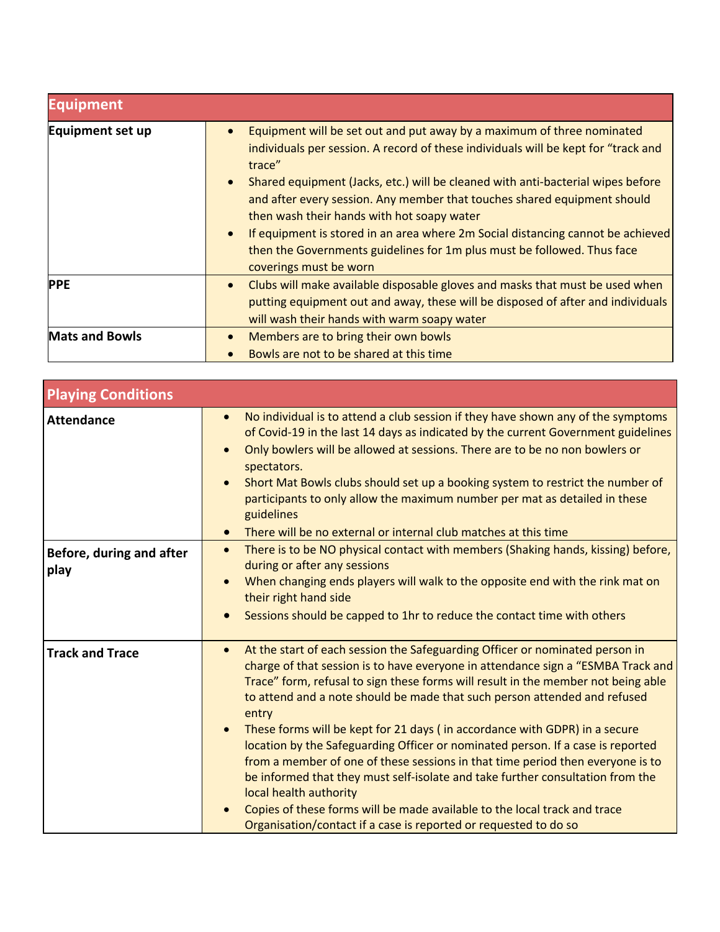| <b>Equipment</b>      |                                                                                                                                                                                                                                                                                                                                                                                                                                                                                                                                                                             |
|-----------------------|-----------------------------------------------------------------------------------------------------------------------------------------------------------------------------------------------------------------------------------------------------------------------------------------------------------------------------------------------------------------------------------------------------------------------------------------------------------------------------------------------------------------------------------------------------------------------------|
| Equipment set up      | Equipment will be set out and put away by a maximum of three nominated<br>individuals per session. A record of these individuals will be kept for "track and<br>trace"<br>Shared equipment (Jacks, etc.) will be cleaned with anti-bacterial wipes before<br>and after every session. Any member that touches shared equipment should<br>then wash their hands with hot soapy water<br>If equipment is stored in an area where 2m Social distancing cannot be achieved<br>then the Governments guidelines for 1m plus must be followed. Thus face<br>coverings must be worn |
| <b>PPE</b>            | Clubs will make available disposable gloves and masks that must be used when<br>putting equipment out and away, these will be disposed of after and individuals<br>will wash their hands with warm soapy water                                                                                                                                                                                                                                                                                                                                                              |
| <b>Mats and Bowls</b> | Members are to bring their own bowls<br>Bowls are not to be shared at this time                                                                                                                                                                                                                                                                                                                                                                                                                                                                                             |

| <b>Playing Conditions</b>        |                                                                                                                                                                                                                                                                                                                                                                                                                                                                                                                                                                                                                                                                                                                                                                                                                                                                                       |
|----------------------------------|---------------------------------------------------------------------------------------------------------------------------------------------------------------------------------------------------------------------------------------------------------------------------------------------------------------------------------------------------------------------------------------------------------------------------------------------------------------------------------------------------------------------------------------------------------------------------------------------------------------------------------------------------------------------------------------------------------------------------------------------------------------------------------------------------------------------------------------------------------------------------------------|
| <b>Attendance</b>                | No individual is to attend a club session if they have shown any of the symptoms<br>$\bullet$<br>of Covid-19 in the last 14 days as indicated by the current Government guidelines<br>Only bowlers will be allowed at sessions. There are to be no non bowlers or<br>spectators.<br>Short Mat Bowls clubs should set up a booking system to restrict the number of<br>participants to only allow the maximum number per mat as detailed in these<br>guidelines<br>There will be no external or internal club matches at this time<br>$\bullet$                                                                                                                                                                                                                                                                                                                                        |
| Before, during and after<br>play | There is to be NO physical contact with members (Shaking hands, kissing) before,<br>$\bullet$<br>during or after any sessions<br>When changing ends players will walk to the opposite end with the rink mat on<br>their right hand side<br>Sessions should be capped to 1hr to reduce the contact time with others                                                                                                                                                                                                                                                                                                                                                                                                                                                                                                                                                                    |
| <b>Track and Trace</b>           | At the start of each session the Safeguarding Officer or nominated person in<br>$\bullet$<br>charge of that session is to have everyone in attendance sign a "ESMBA Track and<br>Trace" form, refusal to sign these forms will result in the member not being able<br>to attend and a note should be made that such person attended and refused<br>entry<br>These forms will be kept for 21 days (in accordance with GDPR) in a secure<br>$\bullet$<br>location by the Safeguarding Officer or nominated person. If a case is reported<br>from a member of one of these sessions in that time period then everyone is to<br>be informed that they must self-isolate and take further consultation from the<br>local health authority<br>Copies of these forms will be made available to the local track and trace<br>Organisation/contact if a case is reported or requested to do so |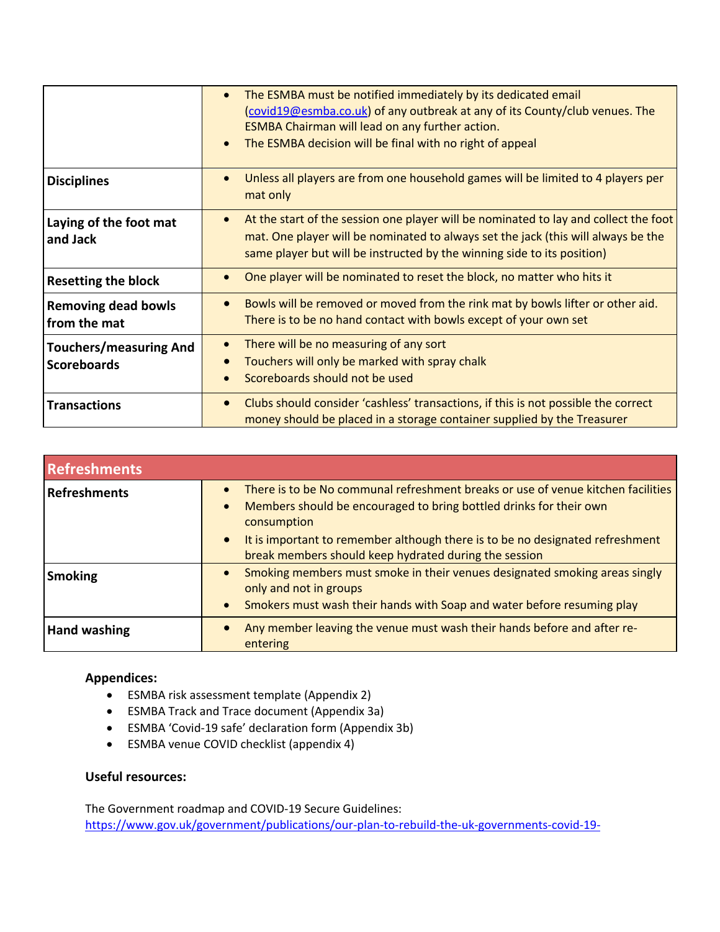|                                                     | The ESMBA must be notified immediately by its dedicated email<br>$\bullet$<br>(covid19@esmba.co.uk) of any outbreak at any of its County/club venues. The<br>ESMBA Chairman will lead on any further action.<br>The ESMBA decision will be final with no right of appeal<br>$\bullet$ |
|-----------------------------------------------------|---------------------------------------------------------------------------------------------------------------------------------------------------------------------------------------------------------------------------------------------------------------------------------------|
| <b>Disciplines</b>                                  | Unless all players are from one household games will be limited to 4 players per<br>$\bullet$<br>mat only                                                                                                                                                                             |
| Laying of the foot mat<br>and Jack                  | At the start of the session one player will be nominated to lay and collect the foot<br>$\bullet$<br>mat. One player will be nominated to always set the jack (this will always be the<br>same player but will be instructed by the winning side to its position)                     |
| <b>Resetting the block</b>                          | One player will be nominated to reset the block, no matter who hits it                                                                                                                                                                                                                |
| <b>Removing dead bowls</b><br>from the mat          | Bowls will be removed or moved from the rink mat by bowls lifter or other aid.<br>$\bullet$<br>There is to be no hand contact with bowls except of your own set                                                                                                                       |
| <b>Touchers/measuring And</b><br><b>Scoreboards</b> | There will be no measuring of any sort<br>$\bullet$<br>Touchers will only be marked with spray chalk<br>Scoreboards should not be used                                                                                                                                                |
| <b>Transactions</b>                                 | Clubs should consider 'cashless' transactions, if this is not possible the correct<br>$\bullet$<br>money should be placed in a storage container supplied by the Treasurer                                                                                                            |

| <b>Refreshments</b> |                                                                                                                                                                                                                                                                                                                                                        |  |
|---------------------|--------------------------------------------------------------------------------------------------------------------------------------------------------------------------------------------------------------------------------------------------------------------------------------------------------------------------------------------------------|--|
| Refreshments        | There is to be No communal refreshment breaks or use of venue kitchen facilities<br>$\bullet$<br>Members should be encouraged to bring bottled drinks for their own<br>$\bullet$<br>consumption<br>It is important to remember although there is to be no designated refreshment<br>$\bullet$<br>break members should keep hydrated during the session |  |
| <b>Smoking</b>      | Smoking members must smoke in their venues designated smoking areas singly<br>$\bullet$<br>only and not in groups<br>Smokers must wash their hands with Soap and water before resuming play<br>$\bullet$                                                                                                                                               |  |
| <b>Hand washing</b> | Any member leaving the venue must wash their hands before and after re-<br>entering                                                                                                                                                                                                                                                                    |  |

# **Appendices:**

- ESMBA risk assessment template (Appendix 2)
- ESMBA Track and Trace document (Appendix 3a)
- ESMBA 'Covid-19 safe' declaration form (Appendix 3b)
- ESMBA venue COVID checklist (appendix 4)

# **Useful resources:**

The Government roadmap and COVID-19 Secure Guidelines: https://www.gov.uk/government/publications/our-plan-to-rebuild-the-uk-governments-covid-19-